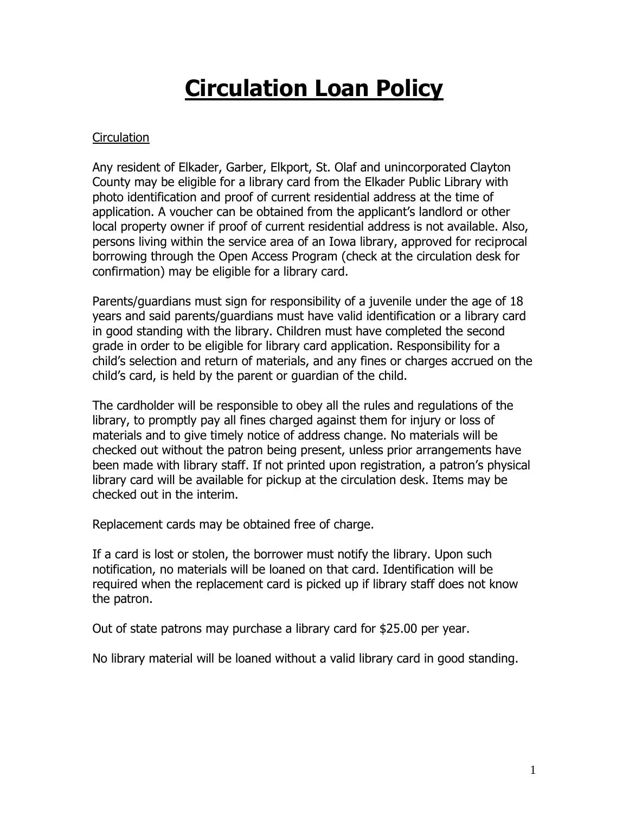# **Circulation Loan Policy**

## **Circulation**

Any resident of Elkader, Garber, Elkport, St. Olaf and unincorporated Clayton County may be eligible for a library card from the Elkader Public Library with photo identification and proof of current residential address at the time of application. A voucher can be obtained from the applicant's landlord or other local property owner if proof of current residential address is not available. Also, persons living within the service area of an Iowa library, approved for reciprocal borrowing through the Open Access Program (check at the circulation desk for confirmation) may be eligible for a library card.

Parents/guardians must sign for responsibility of a juvenile under the age of 18 years and said parents/guardians must have valid identification or a library card in good standing with the library. Children must have completed the second grade in order to be eligible for library card application. Responsibility for a child's selection and return of materials, and any fines or charges accrued on the child's card, is held by the parent or guardian of the child.

The cardholder will be responsible to obey all the rules and regulations of the library, to promptly pay all fines charged against them for injury or loss of materials and to give timely notice of address change. No materials will be checked out without the patron being present, unless prior arrangements have been made with library staff. If not printed upon registration, a patron's physical library card will be available for pickup at the circulation desk. Items may be checked out in the interim.

Replacement cards may be obtained free of charge.

If a card is lost or stolen, the borrower must notify the library. Upon such notification, no materials will be loaned on that card. Identification will be required when the replacement card is picked up if library staff does not know the patron.

Out of state patrons may purchase a library card for \$25.00 per year.

No library material will be loaned without a valid library card in good standing.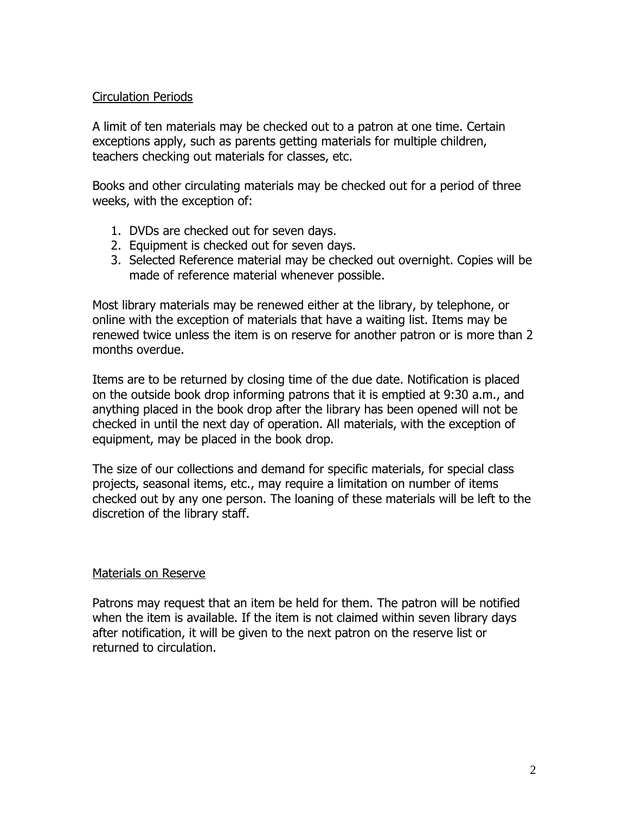#### Circulation Periods

A limit of ten materials may be checked out to a patron at one time. Certain exceptions apply, such as parents getting materials for multiple children, teachers checking out materials for classes, etc.

Books and other circulating materials may be checked out for a period of three weeks, with the exception of:

- 1. DVDs are checked out for seven days.
- 2. Equipment is checked out for seven days.
- 3. Selected Reference material may be checked out overnight. Copies will be made of reference material whenever possible.

Most library materials may be renewed either at the library, by telephone, or online with the exception of materials that have a waiting list. Items may be renewed twice unless the item is on reserve for another patron or is more than 2 months overdue.

Items are to be returned by closing time of the due date. Notification is placed on the outside book drop informing patrons that it is emptied at 9:30 a.m., and anything placed in the book drop after the library has been opened will not be checked in until the next day of operation. All materials, with the exception of equipment, may be placed in the book drop.

The size of our collections and demand for specific materials, for special class projects, seasonal items, etc., may require a limitation on number of items checked out by any one person. The loaning of these materials will be left to the discretion of the library staff.

## Materials on Reserve

Patrons may request that an item be held for them. The patron will be notified when the item is available. If the item is not claimed within seven library days after notification, it will be given to the next patron on the reserve list or returned to circulation.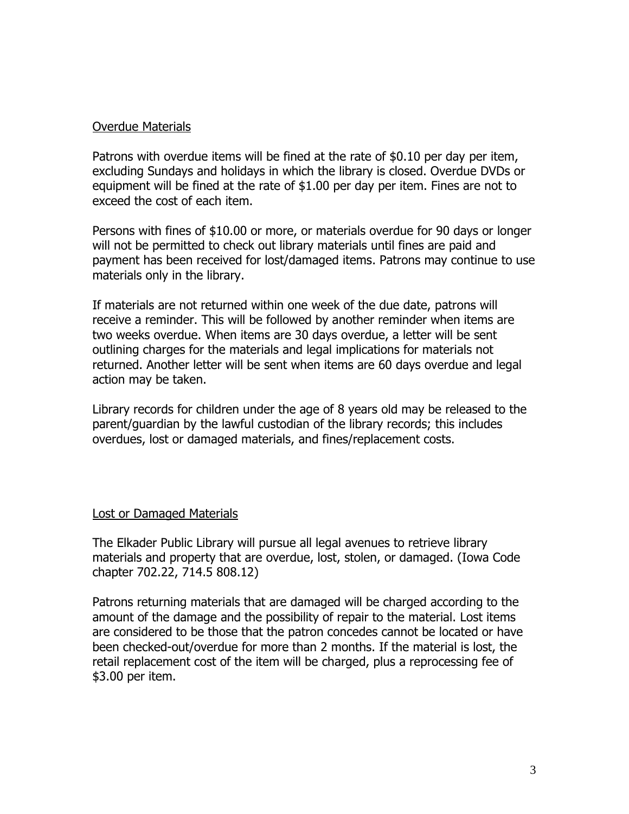#### Overdue Materials

Patrons with overdue items will be fined at the rate of \$0.10 per day per item, excluding Sundays and holidays in which the library is closed. Overdue DVDs or equipment will be fined at the rate of \$1.00 per day per item. Fines are not to exceed the cost of each item.

Persons with fines of \$10.00 or more, or materials overdue for 90 days or longer will not be permitted to check out library materials until fines are paid and payment has been received for lost/damaged items. Patrons may continue to use materials only in the library.

If materials are not returned within one week of the due date, patrons will receive a reminder. This will be followed by another reminder when items are two weeks overdue. When items are 30 days overdue, a letter will be sent outlining charges for the materials and legal implications for materials not returned. Another letter will be sent when items are 60 days overdue and legal action may be taken.

Library records for children under the age of 8 years old may be released to the parent/guardian by the lawful custodian of the library records; this includes overdues, lost or damaged materials, and fines/replacement costs.

#### Lost or Damaged Materials

The Elkader Public Library will pursue all legal avenues to retrieve library materials and property that are overdue, lost, stolen, or damaged. (Iowa Code chapter 702.22, 714.5 808.12)

Patrons returning materials that are damaged will be charged according to the amount of the damage and the possibility of repair to the material. Lost items are considered to be those that the patron concedes cannot be located or have been checked-out/overdue for more than 2 months. If the material is lost, the retail replacement cost of the item will be charged, plus a reprocessing fee of \$3.00 per item.